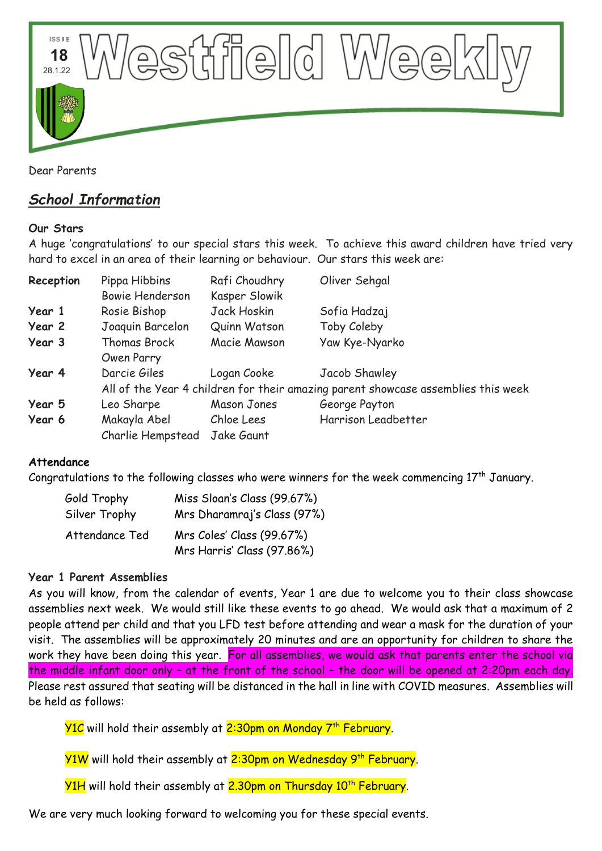

Dear Parents

# *School Information*

### **Our Stars**

A huge 'congratulations' to our special stars this week. To achieve this award children have tried very hard to excel in an area of their learning or behaviour. Our stars this week are:

| Reception | Pippa Hibbins<br><b>Bowie Henderson</b>                                           | Rafi Choudhry<br>Kasper Slowik | Oliver Sehgal       |
|-----------|-----------------------------------------------------------------------------------|--------------------------------|---------------------|
| Year 1    | Rosie Bishop                                                                      | Jack Hoskin                    | Sofia Hadzaj        |
| Year 2    | Joaquin Barcelon                                                                  | Quinn Watson                   | Toby Coleby         |
| Year 3    | <b>Thomas Brock</b>                                                               | Macie Mawson                   | Yaw Kye-Nyarko      |
|           | Owen Parry                                                                        |                                |                     |
| Year 4    | Darcie Giles                                                                      | Logan Cooke                    | Jacob Shawley       |
|           | All of the Year 4 children for their amazing parent showcase assemblies this week |                                |                     |
| Year 5    | Leo Sharpe                                                                        | Mason Jones                    | George Payton       |
| Year 6    | Makayla Abel                                                                      | Chloe Lees                     | Harrison Leadbetter |
|           | Charlie Hempstead                                                                 | Jake Gaunt                     |                     |

### **Attendance**

Congratulations to the following classes who were winners for the week commencing  $17^{\text{th}}$  January.

| Gold Trophy    | Miss Sloan's Class (99.67%) |  |
|----------------|-----------------------------|--|
| Silver Trophy  | Mrs Dharamraj's Class (97%) |  |
| Attendance Ted | Mrs Coles' Class (99.67%)   |  |
|                | Mrs Harris' Class (97.86%)  |  |

### **Year 1 Parent Assemblies**

As you will know, from the calendar of events, Year 1 are due to welcome you to their class showcase assemblies next week. We would still like these events to go ahead. We would ask that a maximum of 2 people attend per child and that you LFD test before attending and wear a mask for the duration of your visit. The assemblies will be approximately 20 minutes and are an opportunity for children to share the work they have been doing this year. For all assemblies, we would ask that parents enter the school via the middle infant door only – at the front of the school – the door will be opened at 2:20pm each day. Please rest assured that seating will be distanced in the hall in line with COVID measures. Assemblies will be held as follows:

<mark>Y1C</mark> will hold their assembly at <mark>2:30pm on Monday 7<sup>th</sup> February</mark>.

Y1W will hold their assembly at 2:30pm on Wednesday 9<sup>th</sup> February.

Y1H will hold their assembly at 2.30pm on Thursday 10<sup>th</sup> February.

We are very much looking forward to welcoming you for these special events.